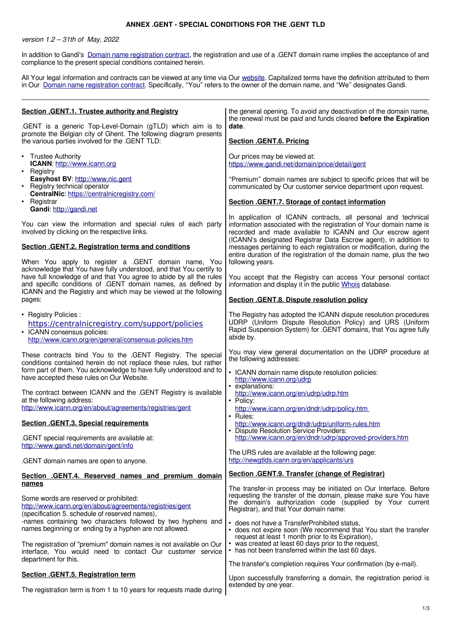## **ANNEX .GENT - SPECIAL CONDITIONS FOR THE .GENT TLD**

version 1.2 – 31th of May, 2022

In addition to Gandi's [Domain name registration contract,](https://www.gandi.net/en/contracts/terms-of-service) the registration and use of a .GENT domain name implies the acceptance of and compliance to the present special conditions contained herein.

All Your legal information and contracts can be viewed at any time via Our [website.](http://www.gandi.net/) Capitalized terms have the definition attributed to them in Our [Domain name registration contract.](https://www.gandi.net/en/contracts/terms-of-service) Specifically, "You" refers to the owner of the domain name, and "We" designates Gandi.

| Section . GENT.1. Trustee authority and Registry<br>.GENT is a generic Top-Level-Domain (gTLD) which aim is to<br>promote the Belgian city of Ghent. The following diagram presents<br>the various parties involved for the .GENT TLD:                                        | the general opening. To avoid any deactivation of the domain name,<br>the renewal must be paid and funds cleared before the Expiration<br>date.<br>Section .GENT.6. Pricing                                                                                                           |
|-------------------------------------------------------------------------------------------------------------------------------------------------------------------------------------------------------------------------------------------------------------------------------|---------------------------------------------------------------------------------------------------------------------------------------------------------------------------------------------------------------------------------------------------------------------------------------|
| • Trustee Authority<br>ICANN: http://www.icann.org<br>• Registry                                                                                                                                                                                                              | Our prices may be viewed at:<br>https://www.gandi.net/domain/price/detail/gent                                                                                                                                                                                                        |
| Easyhost BV: http://www.nic.gent<br>Registry technical operator<br>$\bullet$<br>CentralNic: https://centralnicregistry.com/                                                                                                                                                   | "Premium" domain names are subject to specific prices that will be<br>communicated by Our customer service department upon request.                                                                                                                                                   |
| Registrar<br>$\bullet$<br>Gandi: http://gandi.net                                                                                                                                                                                                                             | Section .GENT.7. Storage of contact information                                                                                                                                                                                                                                       |
| You can view the information and special rules of each party<br>involved by clicking on the respective links.                                                                                                                                                                 | In application of ICANN contracts, all personal and technical<br>information associated with the registration of Your domain name is<br>recorded and made available to ICANN and Our escrow agent<br>(ICANN's designated Registrar Data Escrow agent), in addition to                 |
| Section .GENT.2. Registration terms and conditions<br>When You apply to register a .GENT domain name, You                                                                                                                                                                     | messages pertaining to each registration or modification, during the<br>entire duration of the registration of the domain name, plus the two<br>following years.                                                                                                                      |
| acknowledge that You have fully understood, and that You certify to<br>have full knowledge of and that You agree to abide by all the rules<br>and specific conditions of .GENT domain names, as defined by<br>ICANN and the Registry and which may be viewed at the following | You accept that the Registry can access Your personal contact<br>information and display it in the public Whois database.                                                                                                                                                             |
| pages:                                                                                                                                                                                                                                                                        | Section .GENT.8. Dispute resolution policy                                                                                                                                                                                                                                            |
| • Registry Policies:<br>https://centralnicregistry.com/support/policies<br>• ICANN consensus policies:<br>http://www.icann.org/en/general/consensus-policies.htm                                                                                                              | The Registry has adopted the ICANN dispute resolution procedures<br>UDRP (Uniform Dispute Resolution Policy) and URS (Uniform<br>Rapid Suspension System) for .GENT domains, that You agree fully<br>abide by.                                                                        |
| These contracts bind You to the .GENT Registry. The special<br>conditions contained herein do not replace these rules, but rather<br>form part of them. You acknowledge to have fully understood and to<br>have accepted these rules on Our Website.                          | You may view general documentation on the UDRP procedure at<br>the following addresses:<br>• ICANN domain name dispute resolution policies:<br>http://www.icann.org/udrp                                                                                                              |
| The contract between ICANN and the .GENT Registry is available<br>at the following address:<br>http://www.icann.org/en/about/agreements/registries/gent                                                                                                                       | • explanations:<br>http://www.icann.org/en/udrp/udrp.htm<br>• Policy:<br>http://www.icann.org/en/dndr/udrp/policy.htm<br>• Rules:                                                                                                                                                     |
| <b>Section .GENT.3. Special requirements</b>                                                                                                                                                                                                                                  | http://www.icann.org/dndr/udrp/uniform-rules.htm<br>• Dispute Resolution Service Providers:                                                                                                                                                                                           |
| .GENT special requirements are available at:<br>http://www.gandi.net/domain/gent/info                                                                                                                                                                                         | http://www.icann.org/en/dndr/udrp/approved-providers.htm<br>The URS rules are available at the following page:                                                                                                                                                                        |
| .GENT domain names are open to anyone.                                                                                                                                                                                                                                        | http://newgtlds.icann.org/en/applicants/urs                                                                                                                                                                                                                                           |
| Section .GENT.4. Reserved names and premium domain<br>names                                                                                                                                                                                                                   | Section .GENT.9. Transfer (change of Registrar)                                                                                                                                                                                                                                       |
| Some words are reserved or prohibited:<br>http://www.icann.org/en/about/agreements/registries/gent<br>(specification 5. schedule of reserved names),<br>-names containing two characters followed by two hyphens and                                                          | The transfer-in process may be initiated on Our Interface. Before<br>requesting the transfer of the domain, please make sure You have<br>the domain's authorization code (supplied by Your current<br>Registrar), and that Your domain name:                                          |
| names beginning or ending by a hyphen are not allowed.<br>The registration of "premium" domain names is not available on Our<br>interface, You would need to contact Our customer service                                                                                     | • does not have a TransferProhibited status,<br>• does not expire soon (We recommend that You start the transfer<br>request at least 1 month prior to its Expiration),<br>• was created at least 60 days prior to the request,<br>• has not been transferred within the last 60 days. |
| department for this.                                                                                                                                                                                                                                                          | The transfer's completion requires Your confirmation (by e-mail).                                                                                                                                                                                                                     |
| Section .GENT.5. Registration term<br>The registration term is from 1 to 10 years for requests made during                                                                                                                                                                    | Upon successfully transferring a domain, the registration period is<br>extended by one year.                                                                                                                                                                                          |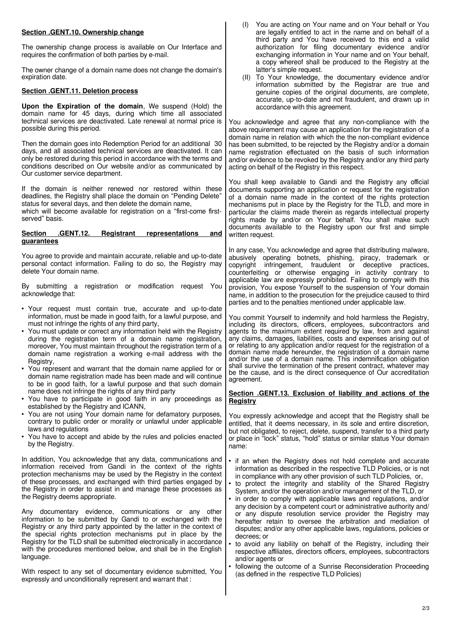| Section .GENT.10. Ownership change<br>The ownership change process is available on Our Interface and<br>requires the confirmation of both parties by e-mail.<br>The owner change of a domain name does not change the domain's<br>expiration date.<br>Section .GENT.11. Deletion process<br>Upon the Expiration of the domain, We suspend (Hold) the<br>domain name for 45 days, during which time all associated<br>technical services are deactivated. Late renewal at normal price is<br>possible during this period.                                                                                                                                                                                                                                                                                                                                                                                                                | You are acting on Your name and on Your behalf or You<br>(1)<br>are legally entitled to act in the name and on behalf of a<br>third party and You have received to this end a valid<br>authorization for filing documentary evidence and/or<br>exchanging information in Your name and on Your behalf,<br>a copy whereof shall be produced to the Registry at the<br>latter's simple request.<br>(II) To Your knowledge, the documentary evidence and/or<br>information submitted by the Registrar are true and<br>genuine copies of the original documents, are complete,<br>accurate, up-to-date and not fraudulent, and drawn up in<br>accordance with this agreement.<br>You acknowledge and agree that any non-compliance with the<br>above requirement may cause an application for the registration of a<br>domain name in relation with which the the non-compliant evidence                                                                                                            |
|-----------------------------------------------------------------------------------------------------------------------------------------------------------------------------------------------------------------------------------------------------------------------------------------------------------------------------------------------------------------------------------------------------------------------------------------------------------------------------------------------------------------------------------------------------------------------------------------------------------------------------------------------------------------------------------------------------------------------------------------------------------------------------------------------------------------------------------------------------------------------------------------------------------------------------------------|-------------------------------------------------------------------------------------------------------------------------------------------------------------------------------------------------------------------------------------------------------------------------------------------------------------------------------------------------------------------------------------------------------------------------------------------------------------------------------------------------------------------------------------------------------------------------------------------------------------------------------------------------------------------------------------------------------------------------------------------------------------------------------------------------------------------------------------------------------------------------------------------------------------------------------------------------------------------------------------------------|
| Then the domain goes into Redemption Period for an additional 30<br>days, and all associated technical services are deactivated. It can<br>only be restored during this period in accordance with the terms and<br>conditions described on Our website and/or as communicated by<br>Our customer service department.                                                                                                                                                                                                                                                                                                                                                                                                                                                                                                                                                                                                                    | has been submitted, to be rejected by the Registry and/or a domain<br>name registration effectuated on the basis of such information<br>and/or evidence to be revoked by the Registry and/or any third party<br>acting on behalf of the Registry in this respect.                                                                                                                                                                                                                                                                                                                                                                                                                                                                                                                                                                                                                                                                                                                               |
| If the domain is neither renewed nor restored within these<br>deadlines, the Registry shall place the domain on "Pending Delete"<br>status for several days, and then delete the domain name,<br>which will become available for registration on a "first-come first-<br>served" basis.                                                                                                                                                                                                                                                                                                                                                                                                                                                                                                                                                                                                                                                 | You shall keep available to Gandi and the Registry any official<br>documents supporting an application or request for the registration<br>of a domain name made in the context of the rights protection<br>mechanisms put in place by the Registry for the TLD, and more in<br>particular the claims made therein as regards intellectual property<br>rights made by and/or on Your behalf. You shall make such<br>documents available to the Registry upon our first and simple                                                                                                                                                                                                                                                                                                                                                                                                                                                                                                                |
| <u>.GENT.12.</u><br><b>Registrant</b><br><b>Section</b><br>representations<br><u>and</u><br>guarantees                                                                                                                                                                                                                                                                                                                                                                                                                                                                                                                                                                                                                                                                                                                                                                                                                                  | written request.                                                                                                                                                                                                                                                                                                                                                                                                                                                                                                                                                                                                                                                                                                                                                                                                                                                                                                                                                                                |
| You agree to provide and maintain accurate, reliable and up-to-date<br>personal contact information. Failing to do so, the Registry may<br>delete Your domain name.<br>By submitting a registration or modification request You                                                                                                                                                                                                                                                                                                                                                                                                                                                                                                                                                                                                                                                                                                         | In any case, You acknowledge and agree that distributing malware,<br>abusively operating botnets, phishing, piracy, trademark or<br>copyright infringement, fraudulent or deceptive practices,<br>counterfeiting or otherwise engaging in activity contrary to<br>applicable law are expressly prohibited. Failing to comply with this<br>provision, You expose Yourself to the suspension of Your domain                                                                                                                                                                                                                                                                                                                                                                                                                                                                                                                                                                                       |
| acknowledge that:                                                                                                                                                                                                                                                                                                                                                                                                                                                                                                                                                                                                                                                                                                                                                                                                                                                                                                                       | name, in addition to the prosecution for the prejudice caused to third<br>parties and to the penalties mentioned under applicable law.                                                                                                                                                                                                                                                                                                                                                                                                                                                                                                                                                                                                                                                                                                                                                                                                                                                          |
| • Your request must contain true, accurate and up-to-date<br>information, must be made in good faith, for a lawful purpose, and<br>must not infringe the rights of any third party,<br>• You must update or correct any information held with the Registry<br>during the registration term of a domain name registration,<br>moreover, You must maintain throughout the registration term of a<br>domain name registration a working e-mail address with the<br>Registry,<br>• You represent and warrant that the domain name applied for or<br>domain name registration made has been made and will continue<br>to be in good faith, for a lawful purpose and that such domain<br>name does not infringe the rights of any third party                                                                                                                                                                                                 | You commit Yourself to indemnify and hold harmless the Registry,<br>including its directors, officers, employees, subcontractors and<br>agents to the maximum extent required by law, from and against<br>any claims, damages, liabilities, costs and expenses arising out of<br>or relating to any application and/or request for the registration of a<br>domain name made hereunder, the registration of a domain name<br>and/or the use of a domain name. This indemnification obligation<br>shall survive the termination of the present contract, whatever may<br>be the cause, and is the direct consequence of Our accreditation<br>agreement.<br>Section .GENT.13. Exclusion of liability and actions of the                                                                                                                                                                                                                                                                           |
| • You have to participate in good faith in any proceedings as<br>established by the Registry and ICANN,                                                                                                                                                                                                                                                                                                                                                                                                                                                                                                                                                                                                                                                                                                                                                                                                                                 | Registry                                                                                                                                                                                                                                                                                                                                                                                                                                                                                                                                                                                                                                                                                                                                                                                                                                                                                                                                                                                        |
| • You are not using Your domain name for defamatory purposes,<br>contrary to public order or morality or unlawful under applicable<br>laws and regulations<br>• You have to accept and abide by the rules and policies enacted<br>by the Registry.                                                                                                                                                                                                                                                                                                                                                                                                                                                                                                                                                                                                                                                                                      | You expressly acknowledge and accept that the Registry shall be<br>entitled, that it deems necessary, in its sole and entire discretion,<br>but not obligated, to reject, delete, suspend, transfer to a third party<br>or place in "lock" status, "hold" status or similar status Your domain<br>name:                                                                                                                                                                                                                                                                                                                                                                                                                                                                                                                                                                                                                                                                                         |
| In addition, You acknowledge that any data, communications and<br>information received from Gandi in the context of the rights<br>protection mechanisms may be used by the Registry in the context<br>of these processes, and exchanged with third parties engaged by<br>the Registry in order to assist in and manage these processes as<br>the Registry deems appropriate.<br>Any documentary evidence, communications or any other<br>information to be submitted by Gandi to or exchanged with the<br>Registry or any third party appointed by the latter in the context of<br>the special rights protection mechanisms put in place by the<br>Registry for the TLD shall be submitted electronically in accordance<br>with the procedures mentioned below, and shall be in the English<br>language.<br>With respect to any set of documentary evidence submitted, You<br>expressly and unconditionally represent and warrant that: | • if an when the Registry does not hold complete and accurate<br>information as described in the respective TLD Policies, or is not<br>in compliance with any other provision of such TLD Policies, or,<br>to protect the integrity and stability of the Shared Registry<br>System, and/or the operation and/or management of the TLD, or<br>• in order to comply with applicable laws and regulations, and/or<br>any decision by a competent court or administrative authority and/<br>or any dispute resolution service provider the Registry may<br>hereafter retain to oversee the arbitration and mediation of<br>disputes; and/or any other applicable laws, regulations, policies or<br>decrees; or<br>• to avoid any liability on behalf of the Registry, including their<br>respective affiliates, directors officers, employees, subcontractors<br>and/or agents or<br>• following the outcome of a Sunrise Reconsideration Proceeding<br>(as defined in the respective TLD Policies) |